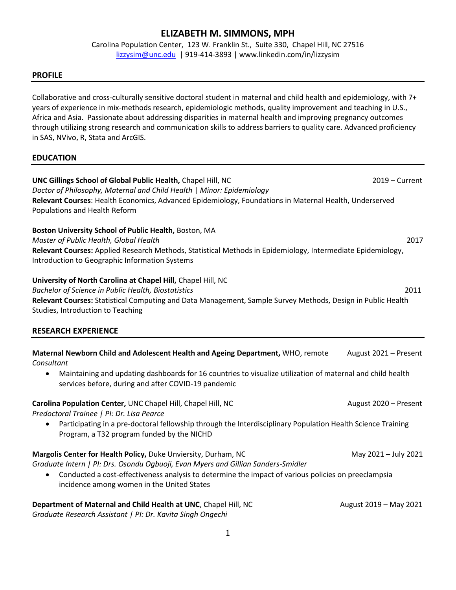# **ELIZABETH M. SIMMONS, MPH**

Carolina Population Center, 123 W. Franklin St., Suite 330, Chapel Hill, NC 27516 [lizzysim@unc.edu](mailto:lizzysim@unc.edu) | 919-414-3893 | www.linkedin.com/in/lizzysim

## **PROFILE**

Collaborative and cross-culturally sensitive doctoral student in maternal and child health and epidemiology, with 7+ years of experience in mix-methods research, epidemiologic methods, quality improvement and teaching in U.S., Africa and Asia. Passionate about addressing disparities in maternal health and improving pregnancy outcomes through utilizing strong research and communication skills to address barriers to quality care. Advanced proficiency in SAS, NVivo, R, Stata and ArcGIS.

## **EDUCATION**

| UNC Gillings School of Global Public Health, Chapel Hill, NC<br>Doctor of Philosophy, Maternal and Child Health   Minor: Epidemiology                                                                                                                                                                    | $2019 -$ Current       |
|----------------------------------------------------------------------------------------------------------------------------------------------------------------------------------------------------------------------------------------------------------------------------------------------------------|------------------------|
| Relevant Courses: Health Economics, Advanced Epidemiology, Foundations in Maternal Health, Underserved<br>Populations and Health Reform                                                                                                                                                                  |                        |
| Boston University School of Public Health, Boston, MA<br>Master of Public Health, Global Health<br>Relevant Courses: Applied Research Methods, Statistical Methods in Epidemiology, Intermediate Epidemiology,<br>Introduction to Geographic Information Systems                                         | 2017                   |
| University of North Carolina at Chapel Hill, Chapel Hill, NC<br>Bachelor of Science in Public Health, Biostatistics<br>Relevant Courses: Statistical Computing and Data Management, Sample Survey Methods, Design in Public Health<br>Studies, Introduction to Teaching                                  | 2011                   |
| <b>RESEARCH EXPERIENCE</b>                                                                                                                                                                                                                                                                               |                        |
| Maternal Newborn Child and Adolescent Health and Ageing Department, WHO, remote<br>Consultant<br>Maintaining and updating dashboards for 16 countries to visualize utilization of maternal and child health<br>$\bullet$<br>services before, during and after COVID-19 pandemic                          | August 2021 - Present  |
| Carolina Population Center, UNC Chapel Hill, Chapel Hill, NC<br>Predoctoral Trainee   PI: Dr. Lisa Pearce<br>Participating in a pre-doctoral fellowship through the Interdisciplinary Population Health Science Training<br>Program, a T32 program funded by the NICHD                                   | August 2020 - Present  |
| Margolis Center for Health Policy, Duke Unviersity, Durham, NC<br>Graduate Intern   PI: Drs. Osondu Ogbuoji, Evan Myers and Gillian Sanders-Smidler<br>Conducted a cost-effectiveness analysis to determine the impact of various policies on preeclampsia<br>incidence among women in the United States | May 2021 - July 2021   |
| Department of Maternal and Child Health at UNC, Chapel Hill, NC<br>Graduate Research Assistant   PI: Dr. Kavita Singh Ongechi                                                                                                                                                                            | August 2019 - May 2021 |
| 1                                                                                                                                                                                                                                                                                                        |                        |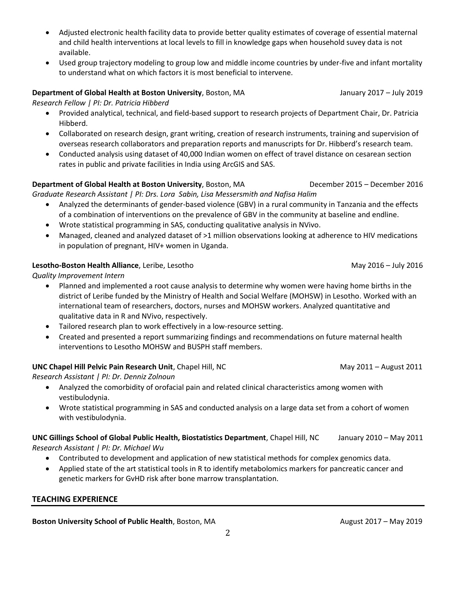- Adjusted electronic health facility data to provide better quality estimates of coverage of essential maternal and child health interventions at local levels to fill in knowledge gaps when household suvey data is not available.
- Used group trajectory modeling to group low and middle income countries by under-five and infant mortality to understand what on which factors it is most beneficial to intervene.

## **Department of Global Health at Boston University**, Boston, MA January 2017 – July 2019

*Research Fellow | PI: Dr. Patricia Hibberd*

- Provided analytical, technical, and field-based support to research projects of Department Chair, Dr. Patricia Hibberd.
- Collaborated on research design, grant writing, creation of research instruments, training and supervision of overseas research collaborators and preparation reports and manuscripts for Dr. Hibberd's research team.
- Conducted analysis using dataset of 40,000 Indian women on effect of travel distance on cesarean section rates in public and private facilities in India using ArcGIS and SAS.

#### **Department of Global Health at Boston University**, Boston, MA December 2015 – December 2016 *Graduate Research Assistant | PI: Drs. Lora Sabin, Lisa Messersmith and Nafisa Halim*

- Analyzed the determinants of gender-based violence (GBV) in a rural community in Tanzania and the effects of a combination of interventions on the prevalence of GBV in the community at baseline and endline.
- Wrote statistical programming in SAS, conducting qualitative analysis in NVivo.
- Managed, cleaned and analyzed dataset of >1 million observations looking at adherence to HIV medications in population of pregnant, HIV+ women in Uganda.

## **Lesotho-Boston Health Alliance**, Leribe, Lesotho **May 2016** – July 2016 – July 2016

*Quality Improvement Intern*

- Planned and implemented a root cause analysis to determine why women were having home births in the district of Leribe funded by the Ministry of Health and Social Welfare (MOHSW) in Lesotho. Worked with an international team of researchers, doctors, nurses and MOHSW workers. Analyzed quantitative and qualitative data in R and NVivo, respectively.
- Tailored research plan to work effectively in a low-resource setting.
- Created and presented a report summarizing findings and recommendations on future maternal health interventions to Lesotho MOHSW and BUSPH staff members.

## **UNC Chapel Hill Pelvic Pain Research Unit**, Chapel Hill, NC May 2011 – August 2011 – August 2011

*Research Assistant | PI: Dr. Denniz Zolnoun*

- Analyzed the comorbidity of orofacial pain and related clinical characteristics among women with vestibulodynia.
- Wrote statistical programming in SAS and conducted analysis on a large data set from a cohort of women with vestibulodynia.

## **UNC Gillings School of Global Public Health, Biostatistics Department**, Chapel Hill, NCJanuary 2010 – May 2011 *Research Assistant | PI: Dr. Michael Wu*

- Contributed to development and application of new statistical methods for complex genomics data.
- Applied state of the art statistical tools in R to identify metabolomics markers for pancreatic cancer and genetic markers for GvHD risk after bone marrow transplantation.

## **TEACHING EXPERIENCE**

**Boston University School of Public Health**, Boston, MA **August 2017** – May 2019 **August 2017** – May 2019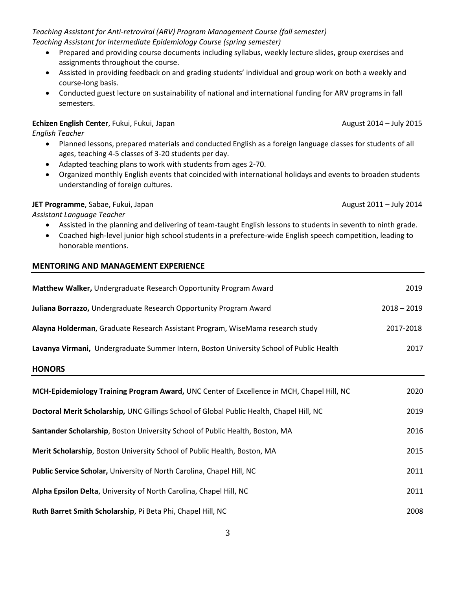*Teaching Assistant for Anti-retroviral (ARV) Program Management Course (fall semester) Teaching Assistant for Intermediate Epidemiology Course (spring semester)*

- Prepared and providing course documents including syllabus, weekly lecture slides, group exercises and assignments throughout the course.
- Assisted in providing feedback on and grading students' individual and group work on both a weekly and course-long basis.
- Conducted guest lecture on sustainability of national and international funding for ARV programs in fall semesters.

## **Echizen English Center**, Fukui, Fukui, Japan August 2014 – July 2015

*English Teacher*

- Planned lessons, prepared materials and conducted English as a foreign language classes for students of all ages, teaching 4-5 classes of 3-20 students per day.
- Adapted teaching plans to work with students from ages 2-70.
- Organized monthly English events that coincided with international holidays and events to broaden students understanding of foreign cultures.

## **JET Programme**, Sabae, Fukui, Japan August 2011 – July 2014

*Assistant Language Teacher*

- Assisted in the planning and delivering of team-taught English lessons to students in seventh to ninth grade.
- Coached high-level junior high school students in a prefecture-wide English speech competition, leading to honorable mentions.

## **MENTORING AND MANAGEMENT EXPERIENCE**

| Matthew Walker, Undergraduate Research Opportunity Program Award                          | 2019          |
|-------------------------------------------------------------------------------------------|---------------|
| Juliana Borrazzo, Undergraduate Research Opportunity Program Award                        | $2018 - 2019$ |
| Alayna Holderman, Graduate Research Assistant Program, WiseMama research study            | 2017-2018     |
| Lavanya Virmani, Undergraduate Summer Intern, Boston University School of Public Health   | 2017          |
| <b>HONORS</b>                                                                             |               |
| MCH-Epidemiology Training Program Award, UNC Center of Excellence in MCH, Chapel Hill, NC | 2020          |
| Doctoral Merit Scholarship, UNC Gillings School of Global Public Health, Chapel Hill, NC  | 2019          |
| Santander Scholarship, Boston University School of Public Health, Boston, MA              | 2016          |
| Merit Scholarship, Boston University School of Public Health, Boston, MA                  | 2015          |
| Public Service Scholar, University of North Carolina, Chapel Hill, NC                     | 2011          |
| Alpha Epsilon Delta, University of North Carolina, Chapel Hill, NC                        | 2011          |
| Ruth Barret Smith Scholarship, Pi Beta Phi, Chapel Hill, NC                               | 2008          |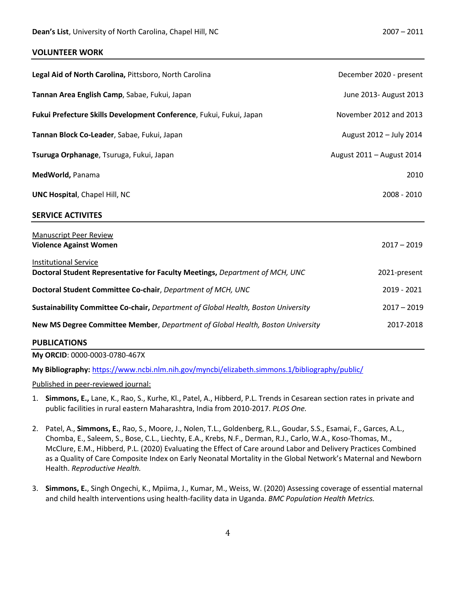#### **VOLUNTEER WORK**

| Legal Aid of North Carolina, Pittsboro, North Carolina                                                       | December 2020 - present   |
|--------------------------------------------------------------------------------------------------------------|---------------------------|
| Tannan Area English Camp, Sabae, Fukui, Japan                                                                | June 2013- August 2013    |
| Fukui Prefecture Skills Development Conference, Fukui, Fukui, Japan                                          | November 2012 and 2013    |
| Tannan Block Co-Leader, Sabae, Fukui, Japan                                                                  | August 2012 - July 2014   |
| Tsuruga Orphanage, Tsuruga, Fukui, Japan                                                                     | August 2011 - August 2014 |
| MedWorld, Panama                                                                                             | 2010                      |
| <b>UNC Hospital, Chapel Hill, NC</b>                                                                         | 2008 - 2010               |
| <b>SERVICE ACTIVITES</b>                                                                                     |                           |
| <b>Manuscript Peer Review</b><br><b>Violence Against Women</b>                                               | $2017 - 2019$             |
| <b>Institutional Service</b><br>Doctoral Student Representative for Faculty Meetings, Department of MCH, UNC | 2021-present              |
| Doctoral Student Committee Co-chair, Department of MCH, UNC                                                  | 2019 - 2021               |
| Sustainability Committee Co-chair, Department of Global Health, Boston University                            | $2017 - 2019$             |
| New MS Degree Committee Member, Department of Global Health, Boston University                               | 2017-2018                 |
| <b>PUBLICATIONS</b>                                                                                          |                           |

**My ORCID**: 0000-0003-0780-467X

**My Bibliography:** <https://www.ncbi.nlm.nih.gov/myncbi/elizabeth.simmons.1/bibliography/public/>

Published in peer-reviewed journal:

- 1. **Simmons, E.,** Lane, K., Rao, S., Kurhe, Kl., Patel, A., Hibberd, P.L. Trends in Cesarean section rates in private and public facilities in rural eastern Maharashtra, India from 2010-2017. *PLOS One.*
- 2. Patel, A., **Simmons, E.**, Rao, S., Moore, J., Nolen, T.L., Goldenberg, R.L., Goudar, S.S., Esamai, F., Garces, A.L., Chomba, E., Saleem, S., Bose, C.L., Liechty, E.A., Krebs, N.F., Derman, R.J., Carlo, W.A., Koso-Thomas, M., McClure, E.M., Hibberd, P.L. (2020) Evaluating the Effect of Care around Labor and Delivery Practices Combined as a Quality of Care Composite Index on Early Neonatal Mortality in the Global Network's Maternal and Newborn Health. *Reproductive Health.*
- 3. **Simmons, E.**, Singh Ongechi, K., Mpiima, J., Kumar, M., Weiss, W. (2020) Assessing coverage of essential maternal and child health interventions using health-facility data in Uganda. *BMC Population Health Metrics.*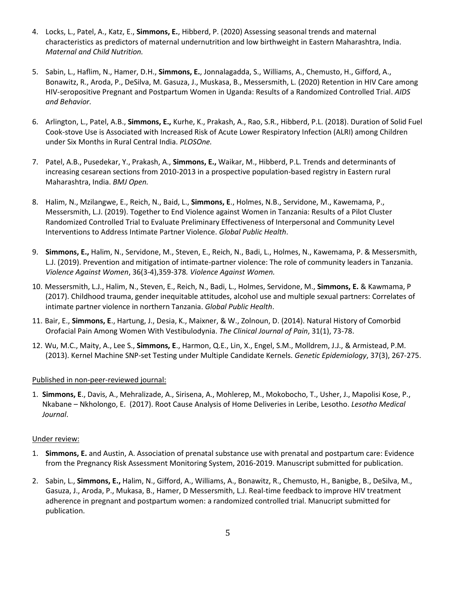- 4. Locks, L., Patel, A., Katz, E., **Simmons, E.**, Hibberd, P. (2020) Assessing seasonal trends and maternal characteristics as predictors of maternal undernutrition and low birthweight in Eastern Maharashtra, India. *Maternal and Child Nutrition.*
- 5. Sabin, L., Haflim, N., Hamer, D.H., **Simmons, E.**, Jonnalagadda, S., Williams, A., Chemusto, H., Gifford, A., Bonawitz, R., Aroda, P., DeSilva, M. Gasuza, J., Muskasa, B., Messersmith, L. (2020) Retention in HIV Care among HIV-seropositive Pregnant and Postpartum Women in Uganda: Results of a Randomized Controlled Trial. *AIDS and Behavior.*
- 6. Arlington, L., Patel, A.B., **Simmons, E.,** Kurhe, K., Prakash, A., Rao, S.R., Hibberd, P.L. (2018). Duration of Solid Fuel Cook-stove Use is Associated with Increased Risk of Acute Lower Respiratory Infection (ALRI) among Children under Six Months in Rural Central India. *PLOSOne.*
- 7. Patel, A.B., Pusedekar, Y., Prakash, A., **Simmons, E.,** Waikar, M., Hibberd, P.L. Trends and determinants of increasing cesarean sections from 2010-2013 in a prospective population-based registry in Eastern rural Maharashtra, India. *BMJ Open.*
- 8. Halim, N., Mzilangwe, E., Reich, N., Baid, L., **Simmons, E**., Holmes, N.B., Servidone, M., Kawemama, P., Messersmith, L.J. (2019). Together to End Violence against Women in Tanzania: Results of a Pilot Cluster Randomized Controlled Trial to Evaluate Preliminary Effectiveness of Interpersonal and Community Level Interventions to Address Intimate Partner Violence. *Global Public Health*.
- 9. **Simmons, E.,** Halim, N., Servidone, M., Steven, E., Reich, N., Badi, L., Holmes, N., Kawemama, P. & Messersmith, L.J. (2019). Prevention and mitigation of intimate-partner violence: The role of community leaders in Tanzania. *Violence Against Women*, 36(3-4),359-378*. Violence Against Women.*
- 10. Messersmith, L.J., Halim, N., Steven, E., Reich, N., Badi, L., Holmes, Servidone, M., **Simmons, E.** & Kawmama, P (2017). Childhood trauma, gender inequitable attitudes, alcohol use and multiple sexual partners: Correlates of intimate partner violence in northern Tanzania. *Global Public Health*.
- 11. Bair, E., **Simmons, E**., Hartung, J., Desia, K., Maixner, & W., Zolnoun, D. (2014). Natural History of Comorbid Orofacial Pain Among Women With Vestibulodynia. *The Clinical Journal of Pain*, 31(1), 73-78.
- 12. Wu, M.C., Maity, A., Lee S., **Simmons, E**., Harmon, Q.E., Lin, X., Engel, S.M., Molldrem, J.J., & Armistead, P.M. (2013). Kernel Machine SNP-set Testing under Multiple Candidate Kernels. *Genetic Epidemiology*, 37(3), 267-275.

## Published in non-peer-reviewed journal:

1. **Simmons, E**., Davis, A., Mehralizade, A., Sirisena, A., Mohlerep, M., Mokobocho, T., Usher, J., Mapolisi Kose, P., Nkabane – Nkholongo, E. (2017). Root Cause Analysis of Home Deliveries in Leribe, Lesotho. *Lesotho Medical Journal*.

## Under review:

- 1. **Simmons, E.** and Austin, A. Association of prenatal substance use with prenatal and postpartum care: Evidence from the Pregnancy Risk Assessment Monitoring System, 2016-2019. Manuscript submitted for publication.
- 2. Sabin, L., **Simmons, E.,** Halim, N., Gifford, A., Williams, A., Bonawitz, R., Chemusto, H., Banigbe, B., DeSilva, M., Gasuza, J., Aroda, P., Mukasa, B., Hamer, D Messersmith, L.J. Real-time feedback to improve HIV treatment adherence in pregnant and postpartum women: a randomized controlled trial. Manucript submitted for publication.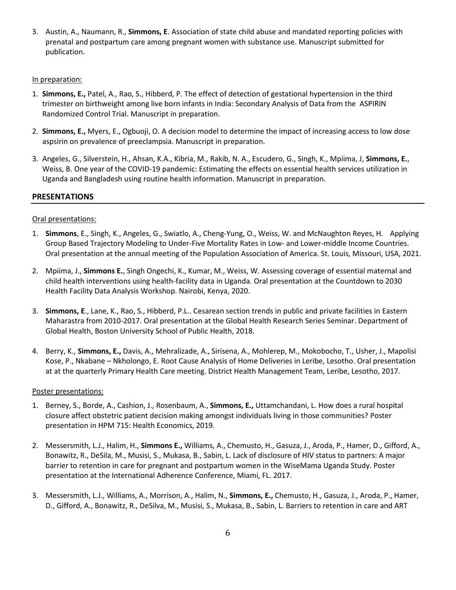3. Austin, A., Naumann, R., **Simmons, E**. Association of state child abuse and mandated reporting policies with prenatal and postpartum care among pregnant women with substance use. Manuscript submitted for publication.

#### In preparation:

- 1. **Simmons, E.,** Patel, A., Rao, S., Hibberd, P. The effect of detection of gestational hypertension in the third trimester on birthweight among live born infants in India: Secondary Analysis of Data from the ASPIRIN Randomized Control Trial. Manuscript in preparation.
- 2. **Simmons, E.,** Myers, E., Ogbuoji, O. A decision model to determine the impact of increasing access to low dose aspsirin on prevalence of preeclampsia. Manuscript in preparation.
- 3. Angeles, G., Silverstein, H., Ahsan, K.A., Kibria, M., Rakib, N. A., Escudero, G., Singh, K., Mpiima, J, **Simmons, E.**, Weiss, B. One year of the COVID-19 pandemic: Estimating the effects on essential health services utilization in Uganda and Bangladesh using routine health information. Manuscript in preparation.

## **PRESENTATIONS**

## Oral presentations:

- 1. **Simmons**, E., Singh, K., Angeles, G., Swiatlo, A., Cheng-Yung, O., Weiss, W. and McNaughton Reyes, H. Applying Group Based Trajectory Modeling to Under-Five Mortality Rates in Low- and Lower-middle Income Countries. Oral presentation at the annual meeting of the Population Association of America. St. Louis, Missouri, USA, 2021.
- 2. Mpiima, J., **Simmons E.**, Singh Ongechi, K., Kumar, M., Weiss, W. Assessing coverage of essential maternal and child health interventions using health-facility data in Uganda. Oral presentation at the Countdown to 2030 Health Facility Data Analysis Workshop. Nairobi, Kenya, 2020.
- 3. **Simmons, E**., Lane, K., Rao, S., Hibberd, P.L.. Cesarean section trends in public and private facilities in Eastern Maharastra from 2010-2017. Oral presentation at the Global Health Research Series Seminar. Department of Global Health, Boston University School of Public Health, 2018.
- 4. Berry, K., **Simmons, E.,** Davis, A., Mehralizade, A., Sirisena, A., Mohlerep, M., Mokobocho, T., Usher, J., Mapolisi Kose, P., Nkabane – Nkholongo, E. Root Cause Analysis of Home Deliveries in Leribe, Lesotho. Oral presentation at at the quarterly Primary Health Care meeting. District Health Management Team, Leribe, Lesotho, 2017.

## Poster presentations:

- 1. Berney, S., Borde, A., Cashion, J., Rosenbaum, A., **Simmons, E.,** Uttamchandani, L. How does a rural hospital closure affect obstetric patient decision making amongst individuals living in those communities? Poster presentation in HPM 715: Health Economics, 2019.
- 2. Messersmith, L.J., Halim, H., **Simmons E.,** Williams, A., Chemusto, H., Gasuza, J., Aroda, P., Hamer, D., Gifford, A., Bonawitz, R., DeSila, M., Musisi, S., Mukasa, B., Sabin, L. Lack of disclosure of HIV status to partners: A major barrier to retention in care for pregnant and postpartum women in the WiseMama Uganda Study. Poster presentation at the International Adherence Conference, Miami, FL. 2017.
- 3. Messersmith, L.J., Williams, A., Morrison, A., Halim, N., **Simmons, E.,** Chemusto, H., Gasuza, J., Aroda, P., Hamer, D., Gifford, A., Bonawitz, R., DeSilva, M., Musisi, S., Mukasa, B., Sabin, L. Barriers to retention in care and ART